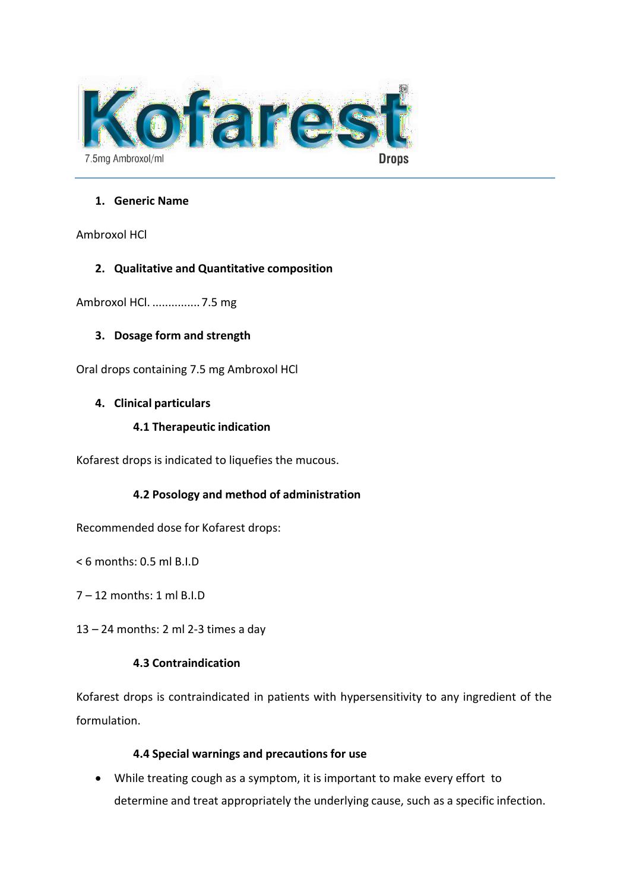

### **1. Generic Name**

Ambroxol HCl

# **2. Qualitative and Quantitative composition**

Ambroxol HCl. ...............7.5 mg

# **3. Dosage form and strength**

Oral drops containing 7.5 mg Ambroxol HCl

# **4. Clinical particulars**

# **4.1 Therapeutic indication**

Kofarest drops is indicated to liquefies the mucous.

# **4.2 Posology and method of administration**

Recommended dose for Kofarest drops:

< 6 months: 0.5 ml B.I.D

7 – 12 months: 1 ml B.I.D

13 – 24 months: 2 ml 2-3 times a day

# **4.3 Contraindication**

Kofarest drops is contraindicated in patients with hypersensitivity to any ingredient of the formulation.

# **4.4 Special warnings and precautions for use**

• While treating cough as a symptom, it is important to make every effort to determine and treat appropriately the underlying cause, such as a specific infection.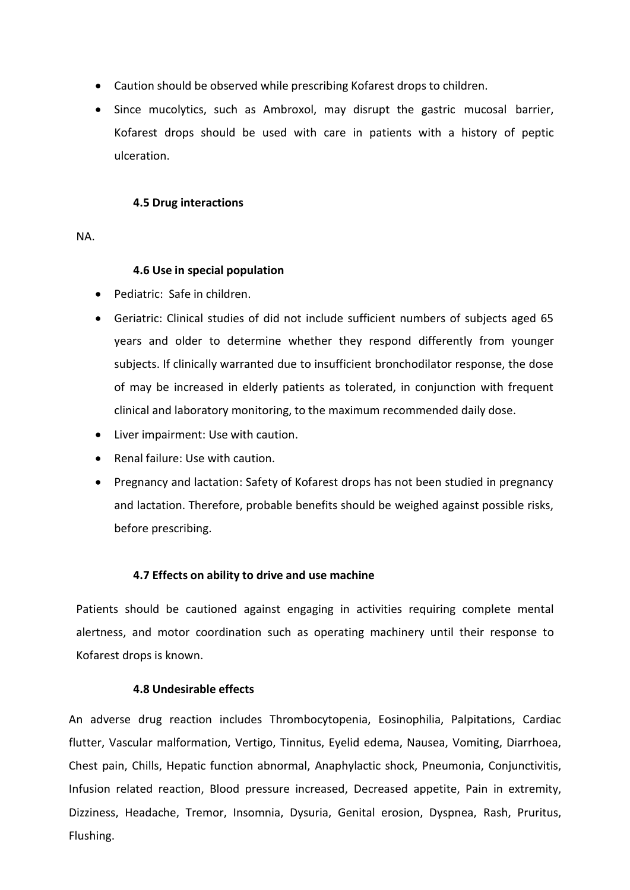- Caution should be observed while prescribing Kofarest drops to children.
- Since mucolytics, such as Ambroxol, may disrupt the gastric mucosal barrier, Kofarest drops should be used with care in patients with a history of peptic ulceration.

#### **4.5 Drug interactions**

NA.

### **4.6 Use in special population**

- Pediatric: Safe in children.
- Geriatric: Clinical studies of did not include sufficient numbers of subjects aged 65 years and older to determine whether they respond differently from younger subjects. If clinically warranted due to insufficient bronchodilator response, the dose of may be increased in elderly patients as tolerated, in conjunction with frequent clinical and laboratory monitoring, to the maximum recommended daily dose.
- Liver impairment: Use with caution.
- Renal failure: Use with caution.
- Pregnancy and lactation: Safety of Kofarest drops has not been studied in pregnancy and lactation. Therefore, probable benefits should be weighed against possible risks, before prescribing.

### **4.7 Effects on ability to drive and use machine**

Patients should be cautioned against engaging in activities requiring complete mental alertness, and motor coordination such as operating machinery until their response to Kofarest drops is known.

### **4.8 Undesirable effects**

An adverse drug reaction includes Thrombocytopenia, Eosinophilia, Palpitations, Cardiac flutter, Vascular malformation, Vertigo, Tinnitus, Eyelid edema, Nausea, Vomiting, Diarrhoea, Chest pain, Chills, Hepatic function abnormal, Anaphylactic shock, Pneumonia, Conjunctivitis, Infusion related reaction, Blood pressure increased, Decreased appetite, Pain in extremity, Dizziness, Headache, Tremor, Insomnia, Dysuria, Genital erosion, Dyspnea, Rash, Pruritus, Flushing.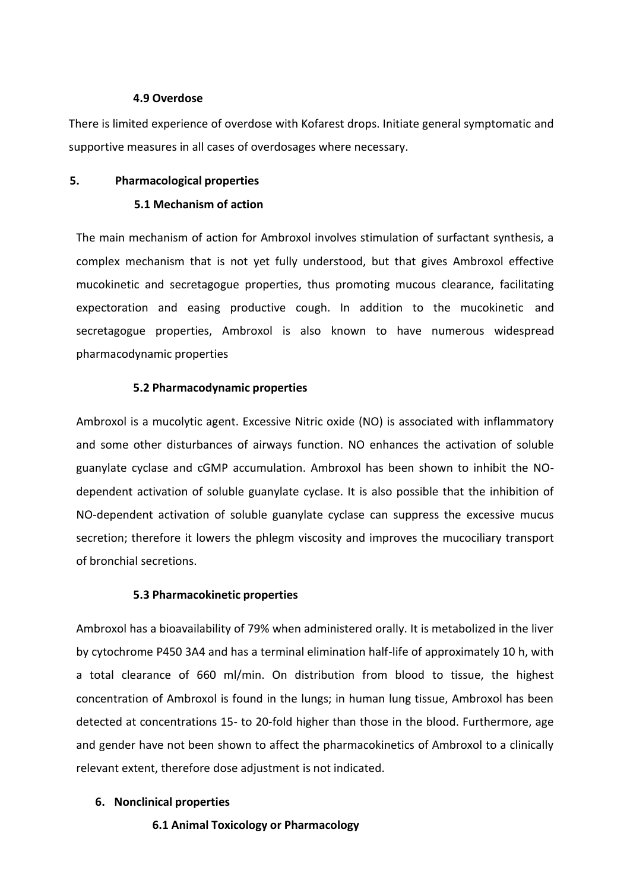#### **4.9 Overdose**

There is limited experience of overdose with Kofarest drops. Initiate general symptomatic and supportive measures in all cases of overdosages where necessary.

#### **5. Pharmacological properties**

#### **5.1 Mechanism of action**

The main mechanism of action for Ambroxol involves stimulation of surfactant synthesis, a complex mechanism that is not yet fully understood, but that gives Ambroxol effective mucokinetic and secretagogue properties, thus promoting mucous clearance, facilitating expectoration and easing productive cough. In addition to the mucokinetic and secretagogue properties, Ambroxol is also known to have numerous widespread pharmacodynamic properties

#### **5.2 Pharmacodynamic properties**

Ambroxol is a mucolytic agent. Excessive Nitric oxide (NO) is associated with inflammatory and some other disturbances of airways function. NO enhances the activation of soluble guanylate cyclase and cGMP accumulation. Ambroxol has been shown to inhibit the NOdependent activation of soluble guanylate cyclase. It is also possible that the inhibition of NO-dependent activation of soluble guanylate cyclase can suppress the excessive mucus secretion; therefore it lowers the phlegm viscosity and improves the mucociliary transport of bronchial secretions.

#### **5.3 Pharmacokinetic properties**

Ambroxol has a bioavailability of 79% when administered orally. It is metabolized in the liver by cytochrome P450 3A4 and has a terminal elimination half-life of approximately 10 h, with a total clearance of 660 ml/min. On distribution from blood to tissue, the highest concentration of Ambroxol is found in the lungs; in human lung tissue, Ambroxol has been detected at concentrations 15- to 20-fold higher than those in the blood. Furthermore, age and gender have not been shown to affect the pharmacokinetics of Ambroxol to a clinically relevant extent, therefore dose adjustment is not indicated.

#### **6. Nonclinical properties**

**6.1 Animal Toxicology or Pharmacology**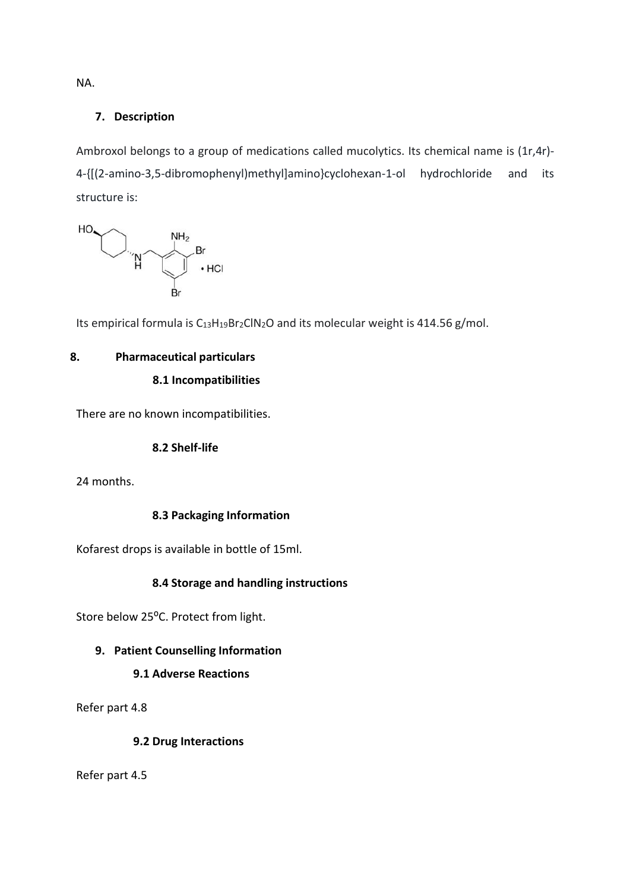NA.

# **7. Description**

Ambroxol belongs to a group of medications called mucolytics. Its chemical name is (1r,4r)-4-{[(2-amino-3,5-dibromophenyl)methyl]amino}cyclohexan-1-ol hydrochloride and its structure is:



Its empirical formula is  $C_{13}H_{19}Br_2CIN_2O$  and its molecular weight is 414.56 g/mol.

# **8. Pharmaceutical particulars**

# **8.1 Incompatibilities**

There are no known incompatibilities.

# **8.2 Shelf-life**

24 months.

# **8.3 Packaging Information**

Kofarest drops is available in bottle of 15ml.

# **8.4 Storage and handling instructions**

Store below 25°C. Protect from light.

# **9. Patient Counselling Information**

# **9.1 Adverse Reactions**

Refer part 4.8

# **9.2 Drug Interactions**

Refer part 4.5